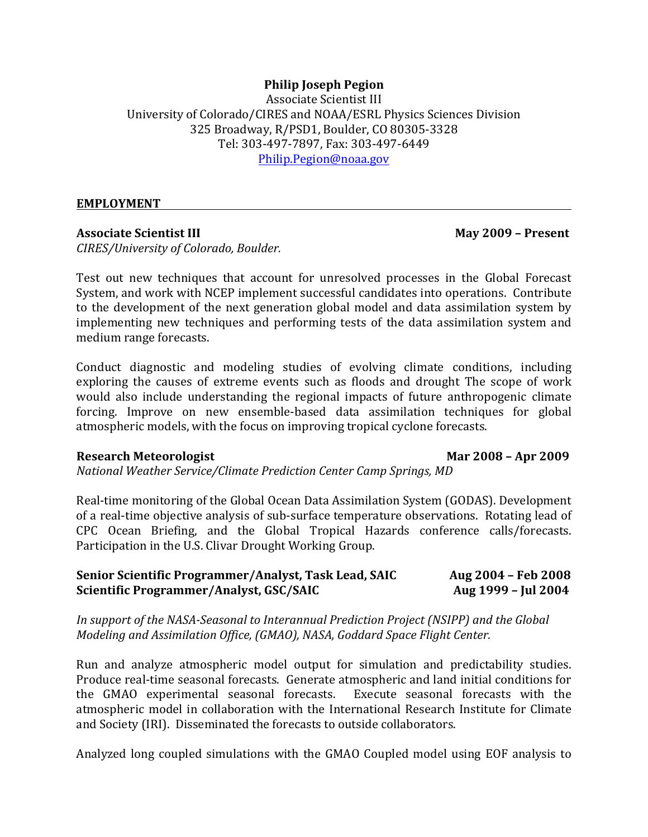## **Philip Joseph Pegion**

**Associate Scientist III** University of Colorado/CIRES and NOAA/ESRL Physics Sciences Division 325 Broadway, R/PSD1, Boulder, CO 80305-3328 Tel: 303-497-7897, Fax: 303-497-6449 Philip.Pegion@noaa.gov

### **EMPLOYMENT**

### **Associate Scientist III May 2009 – Present**

*CIRES/University of Colorado, Boulder.*

Test out new techniques that account for unresolved processes in the Global Forecast System, and work with NCEP implement successful candidates into operations. Contribute to the development of the next generation global model and data assimilation system by implementing new techniques and performing tests of the data assimilation system and medium range forecasts.

Conduct diagnostic and modeling studies of evolving climate conditions, including exploring the causes of extreme events such as floods and drought The scope of work would also include understanding the regional impacts of future anthropogenic climate forcing. Improve on new ensemble-based data assimilation techniques for global atmospheric models, with the focus on improving tropical cyclone forecasts.

### **Research Meteorologist Mar 2008 – Apr 2009**

*National Weather Service/Climate Prediction Center Camp Springs, MD*

Real-time monitoring of the Global Ocean Data Assimilation System (GODAS). Development of a real-time objective analysis of sub-surface temperature observations. Rotating lead of CPC Ocean Briefing, and the Global Tropical Hazards conference calls/forecasts. Participation in the U.S. Clivar Drought Working Group.

| Senior Scientific Programmer/Analyst, Task Lead, SAIC | Aug 2004 – Feb 2008 |
|-------------------------------------------------------|---------------------|
| Scientific Programmer/Analyst, GSC/SAIC               | Aug 1999 - Jul 2004 |

In support of the NASA-Seasonal to Interannual Prediction Project (NSIPP) and the Global *Modeling and Assimilation Office, (GMAO), NASA, Goddard Space Flight Center.* 

Run and analyze atmospheric model output for simulation and predictability studies. Produce real-time seasonal forecasts. Generate atmospheric and land initial conditions for the GMAO experimental seasonal forecasts. Execute seasonal forecasts with the atmospheric model in collaboration with the International Research Institute for Climate and Society (IRI). Disseminated the forecasts to outside collaborators.

Analyzed long coupled simulations with the GMAO Coupled model using EOF analysis to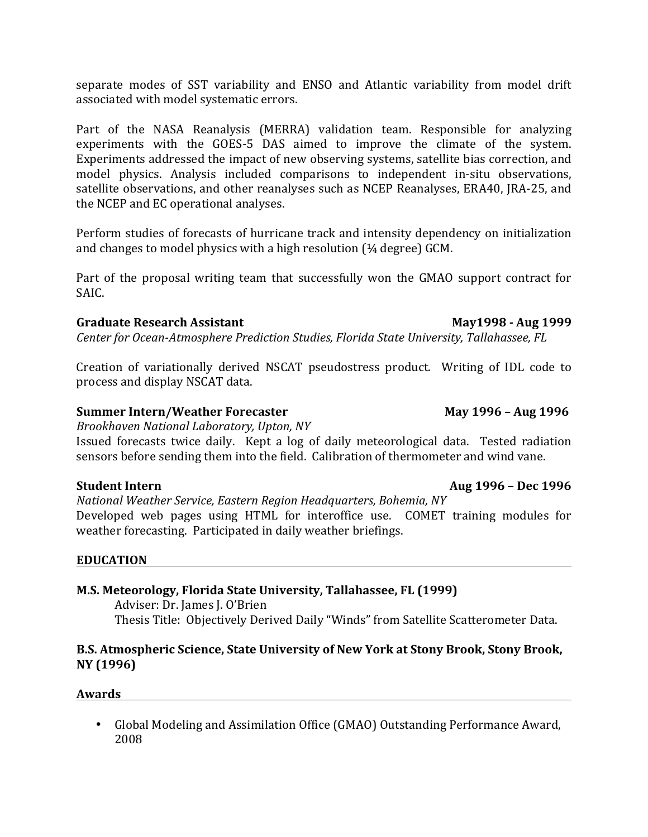separate modes of SST variability and ENSO and Atlantic variability from model drift associated with model systematic errors.

Part of the NASA Reanalysis (MERRA) validation team. Responsible for analyzing experiments with the GOES-5 DAS aimed to improve the climate of the system. Experiments addressed the impact of new observing systems, satellite bias correction, and model physics. Analysis included comparisons to independent in-situ observations, satellite observations, and other reanalyses such as NCEP Reanalyses, ERA40, JRA-25, and the NCEP and EC operational analyses.

Perform studies of forecasts of hurricane track and intensity dependency on initialization and changes to model physics with a high resolution  $(4/4)$  degree) GCM.

Part of the proposal writing team that successfully won the GMAO support contract for SAIC.

# **Graduate Research Assistant May1998 - Aug 1999**

*Center for Ocean-Atmosphere Prediction Studies, Florida State University, Tallahassee, FL* 

Creation of variationally derived NSCAT pseudostress product. Writing of IDL code to process and display NSCAT data.

# **Summer Intern/Weather Forecaster May 1996 – Aug 1996**

*Brookhaven National Laboratory, Upton, NY*

Issued forecasts twice daily. Kept a log of daily meteorological data. Tested radiation sensors before sending them into the field. Calibration of thermometer and wind vane.

# Student Intern **and COVIDE 1996** – Dec 1996

*National Weather Service, Eastern Region Headquarters, Bohemia, NY* Developed web pages using HTML for interoffice use. COMET training modules for weather forecasting. Participated in daily weather briefings.

## **EDUCATION**

# **M.S. Meteorology, Florida State University, Tallahassee, FL (1999)**

Adviser: Dr. James J. O'Brien Thesis Title: Objectively Derived Daily "Winds" from Satellite Scatterometer Data.

## **B.S. Atmospheric Science, State University of New York at Stony Brook, Stony Brook, NY (1996)**

**Awards** 

• Global Modeling and Assimilation Office (GMAO) Outstanding Performance Award, 2008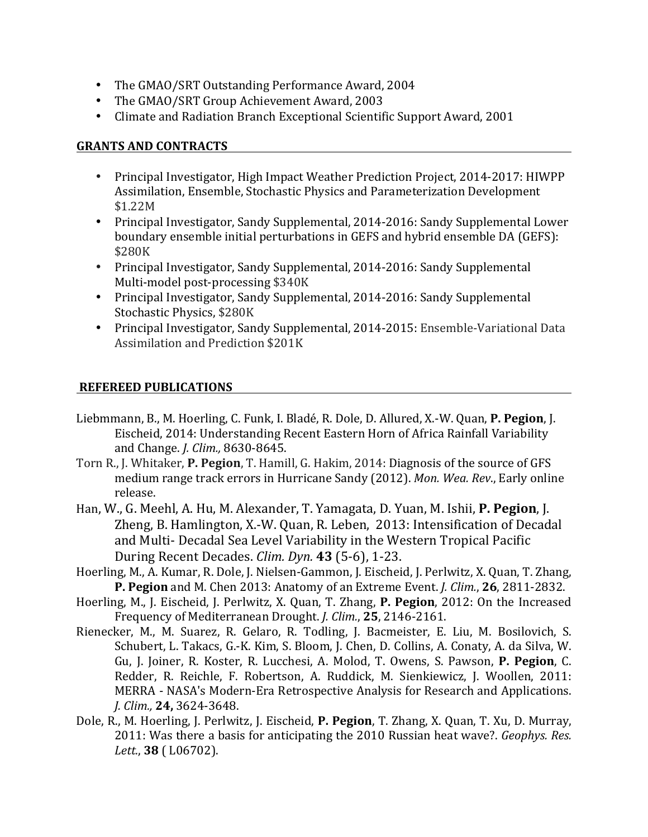- The GMAO/SRT Outstanding Performance Award, 2004
- The GMAO/SRT Group Achievement Award, 2003
- Climate and Radiation Branch Exceptional Scientific Support Award, 2001

### **GRANTS AND CONTRACTS**

- Principal Investigator, High Impact Weather Prediction Project, 2014-2017: HIWPP Assimilation, Ensemble, Stochastic Physics and Parameterization Development \$1.22M
- Principal Investigator, Sandy Supplemental, 2014-2016: Sandy Supplemental Lower boundary ensemble initial perturbations in GEFS and hybrid ensemble DA (GEFS): \$280K
- Principal Investigator, Sandy Supplemental, 2014-2016: Sandy Supplemental Multi-model post-processing \$340K
- Principal Investigator, Sandy Supplemental, 2014-2016: Sandy Supplemental Stochastic Physics, \$280K
- Principal Investigator, Sandy Supplemental, 2014-2015: Ensemble-Variational Data Assimilation and Prediction \$201K

## **REFEREED PUBLICATIONS**

- Liebmmann, B., M. Hoerling, C. Funk, I. Bladé, R. Dole, D. Allured, X.-W. Quan, **P. Pegion**, J. Eischeid, 2014: Understanding Recent Eastern Horn of Africa Rainfall Variability and Change. *J. Clim.,* 8630-8645.
- Torn R., J. Whitaker, P. Pegion, T. Hamill, G. Hakim, 2014: Diagnosis of the source of GFS medium range track errors in Hurricane Sandy (2012). *Mon. Wea. Rev.*, Early online release.
- Han, W., G. Meehl, A. Hu, M. Alexander, T. Yamagata, D. Yuan, M. Ishii, P. Pegion, J. Zheng, B. Hamlington, X.-W. Quan, R. Leben, 2013: Intensification of Decadal and Multi- Decadal Sea Level Variability in the Western Tropical Pacific During Recent Decades. *Clim. Dyn.* **43** (5-6), 1-23.
- Hoerling, M., A. Kumar, R. Dole, J. Nielsen-Gammon, J. Eischeid, J. Perlwitz, X. Quan, T. Zhang, **P. Pegion** and M. Chen 2013: Anatomy of an Extreme Event. *J. Clim.*, **26**, 2811-2832.
- Hoerling, M., J. Eischeid, J. Perlwitz, X. Quan, T. Zhang, P. Pegion, 2012: On the Increased Frequency of Mediterranean Drought. *J. Clim.*, 25, 2146-2161.
- Rienecker, M., M. Suarez, R. Gelaro, R. Todling, J. Bacmeister, E. Liu, M. Bosilovich, S. Schubert, L. Takacs, G.-K. Kim, S. Bloom, J. Chen, D. Collins, A. Conaty, A. da Silva, W. Gu, J. Joiner, R. Koster, R. Lucchesi, A. Molod, T. Owens, S. Pawson, P. Pegion, C. Redder, R. Reichle, F. Robertson, A. Ruddick, M. Sienkiewicz, J. Woollen, 2011: MERRA - NASA's Modern-Era Retrospective Analysis for Research and Applications. *J. Clim.,* **24,** 3624-3648.
- Dole, R., M. Hoerling, J. Perlwitz, J. Eischeid, **P. Pegion**, T. Zhang, X. Quan, T. Xu, D. Murray, 2011: Was there a basis for anticipating the 2010 Russian heat wave?. *Geophys. Res. Lett.*, **38** ( L06702).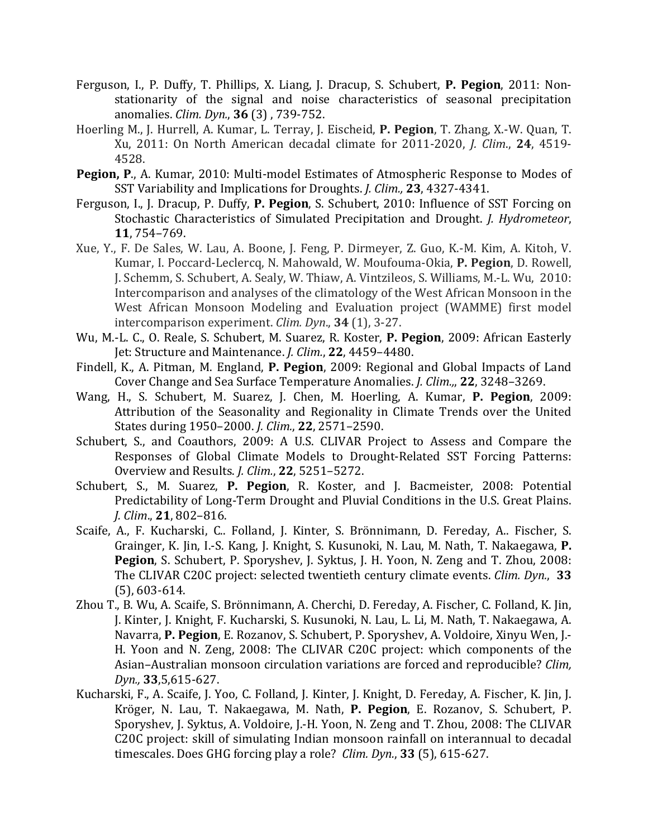- Ferguson, I., P. Duffy, T. Phillips, X. Liang, J. Dracup, S. Schubert, P. Pegion, 2011: Nonstationarity of the signal and noise characteristics of seasonal precipitation anomalies. *Clim. Dyn.*, **36** (3) , 739-752.
- Hoerling M., J. Hurrell, A. Kumar, L. Terray, J. Eischeid, P. Pegion, T. Zhang, X.-W. Quan, T. Xu, 2011: On North American decadal climate for 2011-2020, *J. Clim.*, **24**, 4519-4528.
- Pegion, P., A. Kumar, 2010: Multi-model Estimates of Atmospheric Response to Modes of SST Variability and Implications for Droughts. *J. Clim.*, 23, 4327-4341.
- Ferguson, I., J. Dracup, P. Duffy, P. Pegion, S. Schubert, 2010: Influence of SST Forcing on Stochastic Characteristics of Simulated Precipitation and Drought. *J. Hydrometeor*, **11**, 754–769.
- Xue, Y., F. De Sales, W. Lau, A. Boone, J. Feng, P. Dirmeyer, Z. Guo, K.-M. Kim, A. Kitoh, V. Kumar, I. Poccard-Leclercq, N. Mahowald, W. Moufouma-Okia, P. Pegion, D. Rowell, J. Schemm, S. Schubert, A. Sealy, W. Thiaw, A. Vintzileos, S. Williams, M.-L. Wu, 2010: Intercomparison and analyses of the climatology of the West African Monsoon in the West African Monsoon Modeling and Evaluation project (WAMME) first model intercomparison experiment. *Clim.* Dyn., 34 (1), 3-27.
- Wu, M.-L. C., O. Reale, S. Schubert, M. Suarez, R. Koster, P. Pegion, 2009: African Easterly Jet: Structure and Maintenance. *J. Clim.*, 22, 4459-4480.
- Findell, K., A. Pitman, M. England, P. Pegion, 2009: Regional and Global Impacts of Land Cover Change and Sea Surface Temperature Anomalies. *J. Clim.*,, **22**, 3248–3269.
- Wang, H., S. Schubert, M. Suarez, J. Chen, M. Hoerling, A. Kumar, P. Pegion, 2009: Attribution of the Seasonality and Regionality in Climate Trends over the United States during 1950-2000. *J. Clim.*, **22**, 2571-2590.
- Schubert, S., and Coauthors, 2009: A U.S. CLIVAR Project to Assess and Compare the Responses of Global Climate Models to Drought-Related SST Forcing Patterns: Overview and Results. *J. Clim.*, **22**, 5251–5272.
- Schubert, S., M. Suarez, P. Pegion, R. Koster, and J. Bacmeister, 2008: Potential Predictability of Long-Term Drought and Pluvial Conditions in the U.S. Great Plains. *J. Clim*., **21**, 802–816.
- Scaife, A., F. Kucharski, C.. Folland, J. Kinter, S. Brönnimann, D. Fereday, A.. Fischer, S. Grainger, K. Jin, I.-S. Kang, J. Knight, S. Kusunoki, N. Lau, M. Nath, T. Nakaegawa, P. **Pegion**, S. Schubert, P. Sporyshev, J. Syktus, J. H. Yoon, N. Zeng and T. Zhou, 2008: The CLIVAR C20C project: selected twentieth century climate events. *Clim. Dyn.*, 33  $(5)$ , 603-614.
- Zhou T., B. Wu, A. Scaife, S. Brönnimann, A. Cherchi, D. Fereday, A. Fischer, C. Folland, K. Jin, J. Kinter, J. Knight, F. Kucharski, S. Kusunoki, N. Lau, L. Li, M. Nath, T. Nakaegawa, A. Navarra, P. Pegion, E. Rozanov, S. Schubert, P. Sporyshev, A. Voldoire, Xinyu Wen, J.-H. Yoon and N. Zeng, 2008: The CLIVAR C20C project: which components of the Asian-Australian monsoon circulation variations are forced and reproducible? *Clim*, *Dyn.,* **33**,5,615-627.
- Kucharski, F., A. Scaife, J. Yoo, C. Folland, J. Kinter, J. Knight, D. Fereday, A. Fischer, K. Jin, J. Kröger, N. Lau, T. Nakaegawa, M. Nath, P. Pegion, E. Rozanov, S. Schubert, P. Sporyshev, J. Syktus, A. Voldoire, J.-H. Yoon, N. Zeng and T. Zhou, 2008: The CLIVAR C20C project: skill of simulating Indian monsoon rainfall on interannual to decadal timescales. Does GHG forcing play a role? *Clim. Dyn.*, 33 (5), 615-627.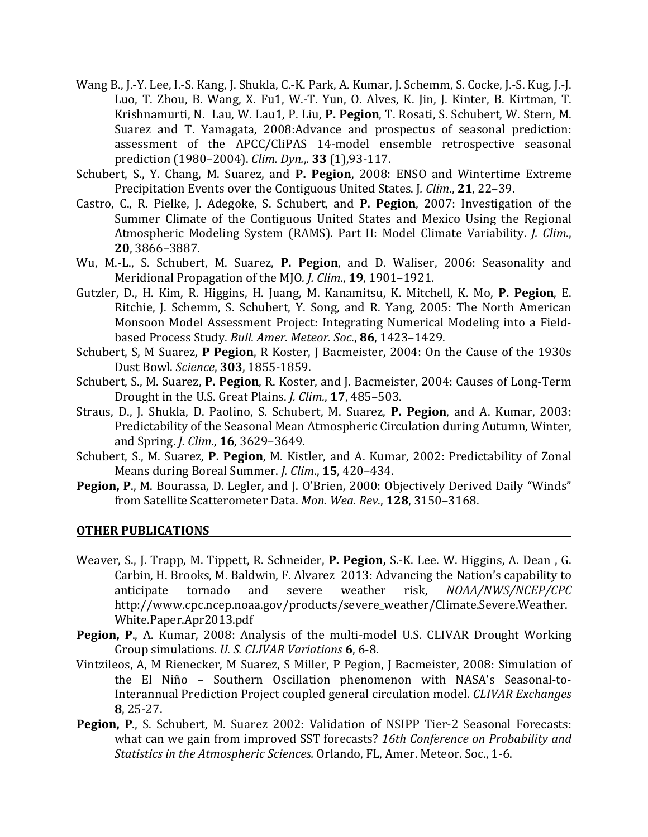- Wang B., J.-Y. Lee, I.-S. Kang, J. Shukla, C.-K. Park, A. Kumar, J. Schemm, S. Cocke, J.-S. Kug, J.-J. Luo, T. Zhou, B. Wang, X. Fu1, W.-T. Yun, O. Alves, K. Jin, J. Kinter, B. Kirtman, T. Krishnamurti, N. Lau, W. Lau1, P. Liu, P. Pegion, T. Rosati, S. Schubert, W. Stern, M. Suarez and T. Yamagata, 2008:Advance and prospectus of seasonal prediction: assessment of the APCC/CliPAS 14-model ensemble retrospective seasonal prediction (1980–2004). *Clim. Dyn.*,. **33** (1),93-117.
- Schubert, S., Y. Chang, M. Suarez, and P. Pegion, 2008: ENSO and Wintertime Extreme Precipitation Events over the Contiguous United States. J. Clim., 21, 22-39.
- Castro, C., R. Pielke, J. Adegoke, S. Schubert, and P. Pegion, 2007: Investigation of the Summer Climate of the Contiguous United States and Mexico Using the Regional Atmospheric Modeling System (RAMS). Part II: Model Climate Variability. *J. Clim.*, **20**, 3866–3887.
- Wu, M.-L., S. Schubert, M. Suarez, P. Pegion, and D. Waliser, 2006: Seasonality and Meridional Propagation of the MJO. *J. Clim.*, **19**, 1901–1921.
- Gutzler, D., H. Kim, R. Higgins, H. Juang, M. Kanamitsu, K. Mitchell, K. Mo, P. Pegion, E. Ritchie, J. Schemm, S. Schubert, Y. Song, and R. Yang, 2005: The North American Monsoon Model Assessment Project: Integrating Numerical Modeling into a Fieldbased Process Study. *Bull. Amer. Meteor. Soc.*, 86, 1423-1429.
- Schubert, S, M Suarez, P Pegion, R Koster, J Bacmeister, 2004: On the Cause of the 1930s Dust Bowl. *Science*, **303**, 1855-1859.
- Schubert, S., M. Suarez, P. Pegion, R. Koster, and J. Bacmeister, 2004: Causes of Long-Term Drought in the U.S. Great Plains. *J. Clim.*, **17**, 485–503.
- Straus, D., J. Shukla, D. Paolino, S. Schubert, M. Suarez, P. Pegion, and A. Kumar, 2003: Predictability of the Seasonal Mean Atmospheric Circulation during Autumn, Winter, and Spring. *J. Clim.*, **16**, 3629–3649.
- Schubert, S., M. Suarez, P. Pegion, M. Kistler, and A. Kumar, 2002: Predictability of Zonal Means during Boreal Summer. *J. Clim.*, **15**, 420-434.
- **Pegion, P., M. Bourassa, D. Legler, and J. O'Brien, 2000: Objectively Derived Daily "Winds"** from Satellite Scatterometer Data. Mon. Wea. Rev., 128, 3150-3168.

### **OTHER PUBLICATIONS**

- Weaver, S., J. Trapp, M. Tippett, R. Schneider, P. Pegion, S.-K. Lee. W. Higgins, A. Dean, G. Carbin, H. Brooks, M. Baldwin, F. Alvarez 2013: Advancing the Nation's capability to anticipate tornado and severe weather risk, *NOAA/NWS/NCEP/CPC* http://www.cpc.ncep.noaa.gov/products/severe\_weather/Climate.Severe.Weather. White.Paper.Apr2013.pdf
- **Pegion, P.,** A. Kumar, 2008: Analysis of the multi-model U.S. CLIVAR Drought Working Group simulations. *U. S. CLIVAR Variations* **6**, 6-8.
- Vintzileos, A, M Rienecker, M Suarez, S Miller, P Pegion, J Bacmeister, 2008: Simulation of the El Niño - Southern Oscillation phenomenon with NASA's Seasonal-to-Interannual Prediction Project coupled general circulation model. *CLIVAR Exchanges* **8**, 25-27.
- **Pegion, P., S. Schubert, M. Suarez 2002: Validation of NSIPP Tier-2 Seasonal Forecasts:** what can we gain from improved SST forecasts? 16th Conference on Probability and *Statistics in the Atmospheric Sciences.* Orlando, FL, Amer. Meteor. Soc., 1-6.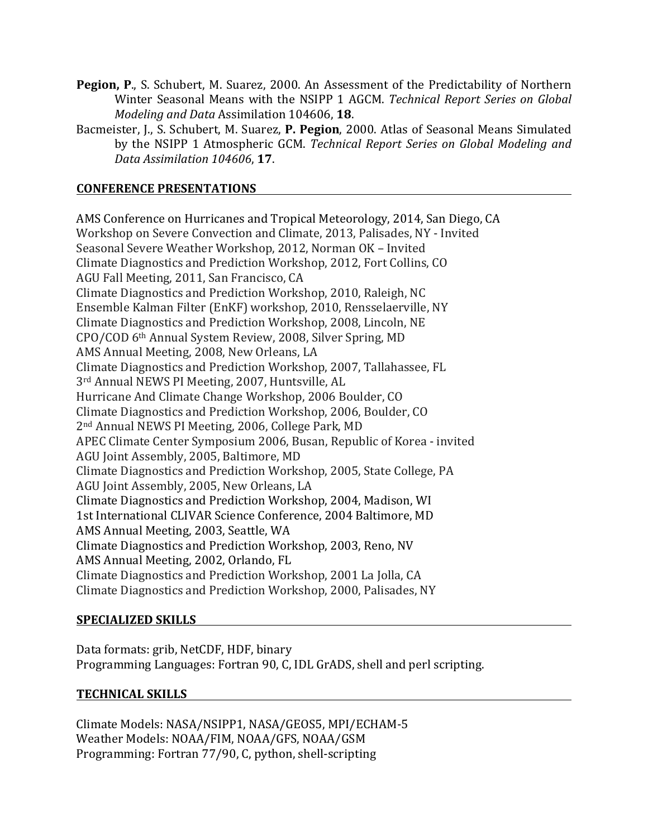- **Pegion, P., S. Schubert, M. Suarez, 2000. An Assessment of the Predictability of Northern** Winter Seasonal Means with the NSIPP 1 AGCM. *Technical Report Series on Global Modeling and Data Assimilation 104606, 18.*
- Bacmeister, I., S. Schubert, M. Suarez, P. Pegion, 2000. Atlas of Seasonal Means Simulated by the NSIPP 1 Atmospheric GCM. *Technical Report Series on Global Modeling and Data Assimilation 104606*, **17**.

# **CONFERENCE PRESENTATIONS**

AMS Conference on Hurricanes and Tropical Meteorology, 2014, San Diego, CA Workshop on Severe Convection and Climate, 2013, Palisades, NY - Invited Seasonal Severe Weather Workshop, 2012, Norman OK - Invited Climate Diagnostics and Prediction Workshop, 2012, Fort Collins, CO AGU Fall Meeting, 2011, San Francisco, CA Climate Diagnostics and Prediction Workshop, 2010, Raleigh, NC Ensemble Kalman Filter (EnKF) workshop, 2010, Rensselaerville, NY Climate Diagnostics and Prediction Workshop, 2008, Lincoln, NE CPO/COD 6<sup>th</sup> Annual System Review, 2008, Silver Spring, MD AMS Annual Meeting, 2008, New Orleans, LA Climate Diagnostics and Prediction Workshop, 2007, Tallahassee, FL 3<sup>rd</sup> Annual NEWS PI Meeting, 2007, Huntsville, AL Hurricane And Climate Change Workshop, 2006 Boulder, CO Climate Diagnostics and Prediction Workshop, 2006, Boulder, CO 2<sup>nd</sup> Annual NEWS PI Meeting, 2006, College Park, MD APEC Climate Center Symposium 2006, Busan, Republic of Korea - invited AGU Joint Assembly, 2005, Baltimore, MD Climate Diagnostics and Prediction Workshop, 2005, State College, PA AGU Joint Assembly, 2005, New Orleans, LA Climate Diagnostics and Prediction Workshop, 2004, Madison, WI 1st International CLIVAR Science Conference, 2004 Baltimore, MD AMS Annual Meeting, 2003, Seattle, WA Climate Diagnostics and Prediction Workshop, 2003, Reno, NV AMS Annual Meeting, 2002, Orlando, FL Climate Diagnostics and Prediction Workshop, 2001 La Jolla, CA Climate Diagnostics and Prediction Workshop, 2000, Palisades, NY

## **SPECIALIZED SKILLS**

Data formats: grib, NetCDF, HDF, binary Programming Languages: Fortran 90, C, IDL GrADS, shell and perl scripting.

### **TECHNICAL SKILLS**

Climate Models: NASA/NSIPP1, NASA/GEOS5, MPI/ECHAM-5 Weather Models: NOAA/FIM, NOAA/GFS, NOAA/GSM Programming: Fortran 77/90, C, python, shell-scripting